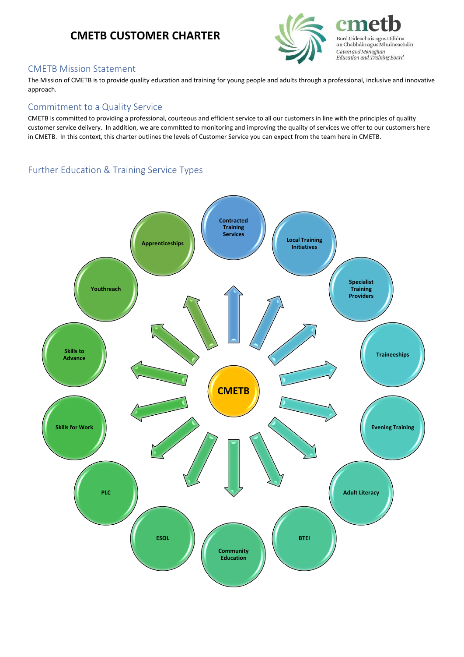# **CMETB CUSTOMER CHARTER**



Bord Oideachais agus Oiliúna an Chabháin agus Mhuineacháin Cavan and Monaghan<br>Education and Training Board

## CMETB Mission Statement

The Mission of CMETB is to provide quality education and training for young people and adults through a professional, inclusive and innovative approach.

### Commitment to a Quality Service

CMETB is committed to providing a professional, courteous and efficient service to all our customers in line with the principles of quality customer service delivery. In addition, we are committed to monitoring and improving the quality of services we offer to our customers here in CMETB. In this context, this charter outlines the levels of Customer Service you can expect from the team here in CMETB.

# Further Education & Training Service Types

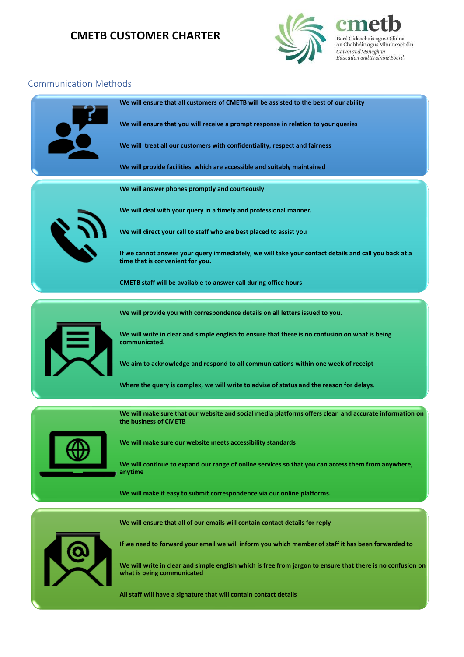# **CMETB CUSTOMER CHARTER**



Bord Oideachais agus Oiliúna an Chabháin agus Mhuineacháin Cavan and Monaghan Education and Training Board

## Communication Methods



**All staff will have a signature that will contain contact details**